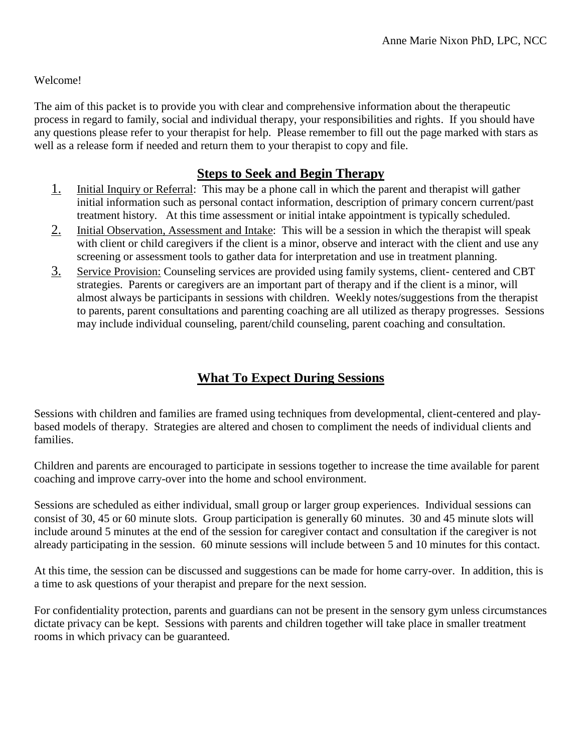### Welcome!

The aim of this packet is to provide you with clear and comprehensive information about the therapeutic process in regard to family, social and individual therapy, your responsibilities and rights. If you should have any questions please refer to your therapist for help. Please remember to fill out the page marked with stars as well as a release form if needed and return them to your therapist to copy and file.

## **Steps to Seek and Begin Therapy**

- 1. Initial Inquiry or Referral: This may be a phone call in which the parent and therapist will gather initial information such as personal contact information, description of primary concern current/past treatment history. At this time assessment or initial intake appointment is typically scheduled.
- 2. Initial Observation, Assessment and Intake: This will be a session in which the therapist will speak with client or child caregivers if the client is a minor, observe and interact with the client and use any screening or assessment tools to gather data for interpretation and use in treatment planning.
- 3. Service Provision: Counseling services are provided using family systems, client- centered and CBT strategies. Parents or caregivers are an important part of therapy and if the client is a minor, will almost always be participants in sessions with children. Weekly notes/suggestions from the therapist to parents, parent consultations and parenting coaching are all utilized as therapy progresses. Sessions may include individual counseling, parent/child counseling, parent coaching and consultation.

# **What To Expect During Sessions**

Sessions with children and families are framed using techniques from developmental, client-centered and playbased models of therapy. Strategies are altered and chosen to compliment the needs of individual clients and families.

Children and parents are encouraged to participate in sessions together to increase the time available for parent coaching and improve carry-over into the home and school environment.

Sessions are scheduled as either individual, small group or larger group experiences. Individual sessions can consist of 30, 45 or 60 minute slots. Group participation is generally 60 minutes. 30 and 45 minute slots will include around 5 minutes at the end of the session for caregiver contact and consultation if the caregiver is not already participating in the session. 60 minute sessions will include between 5 and 10 minutes for this contact.

At this time, the session can be discussed and suggestions can be made for home carry-over. In addition, this is a time to ask questions of your therapist and prepare for the next session.

For confidentiality protection, parents and guardians can not be present in the sensory gym unless circumstances dictate privacy can be kept. Sessions with parents and children together will take place in smaller treatment rooms in which privacy can be guaranteed.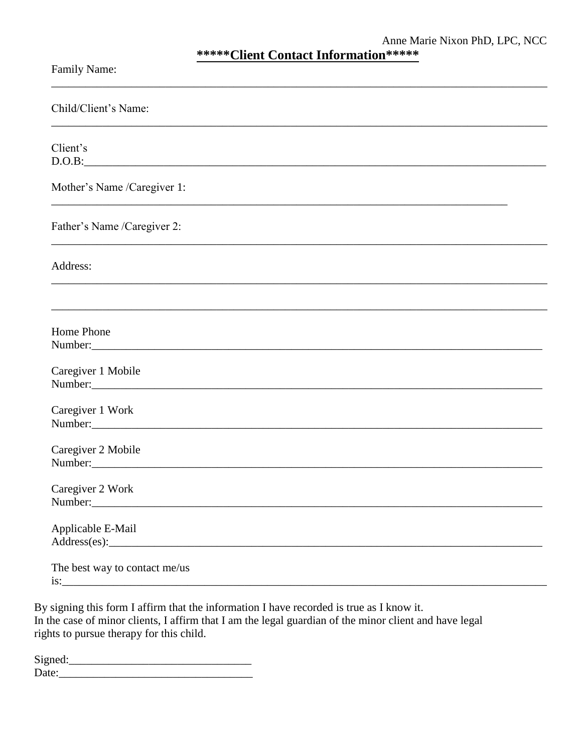| <b>Family Name:</b> |  |
|---------------------|--|
|---------------------|--|

| Child/Client's Name:                                                                          |
|-----------------------------------------------------------------------------------------------|
| Client's                                                                                      |
| Mother's Name /Caregiver 1:                                                                   |
| Father's Name /Caregiver 2:                                                                   |
| Address:<br>,我们也不能在这里的时候,我们也不能在这里的时候,我们也不能会在这里的时候,我们也不能会在这里的时候,我们也不能会在这里的时候,我们也不能会在这里的时候,我们也不 |
|                                                                                               |
| Home Phone<br>Number:                                                                         |
| Caregiver 1 Mobile<br>Number:                                                                 |
| Caregiver 1 Work<br>Number:                                                                   |
| Caregiver 2 Mobile<br>Number:                                                                 |
| Caregiver 2 Work<br>Number:                                                                   |
| Applicable E-Mail                                                                             |
| The best way to contact me/us                                                                 |

By signing this form I affirm that the information I have recorded is true as I know it. In the case of minor clients, I affirm that I am the legal guardian of the minor client and have legal rights to pursue therapy for this child.

| Signed: |  |  |
|---------|--|--|
| Date:   |  |  |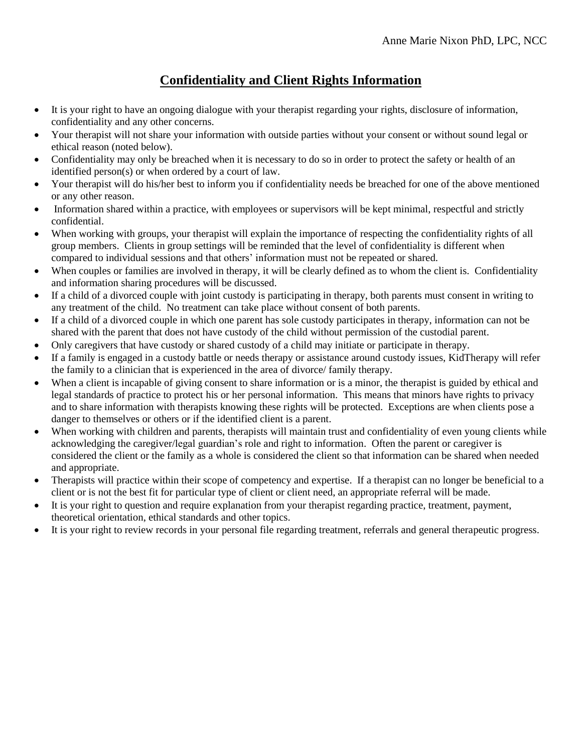# **Confidentiality and Client Rights Information**

- It is your right to have an ongoing dialogue with your therapist regarding your rights, disclosure of information, confidentiality and any other concerns.
- Your therapist will not share your information with outside parties without your consent or without sound legal or ethical reason (noted below).
- Confidentiality may only be breached when it is necessary to do so in order to protect the safety or health of an identified person(s) or when ordered by a court of law.
- Your therapist will do his/her best to inform you if confidentiality needs be breached for one of the above mentioned or any other reason.
- Information shared within a practice, with employees or supervisors will be kept minimal, respectful and strictly confidential.
- When working with groups, your therapist will explain the importance of respecting the confidentiality rights of all group members. Clients in group settings will be reminded that the level of confidentiality is different when compared to individual sessions and that others' information must not be repeated or shared.
- When couples or families are involved in therapy, it will be clearly defined as to whom the client is. Confidentiality and information sharing procedures will be discussed.
- If a child of a divorced couple with joint custody is participating in therapy, both parents must consent in writing to any treatment of the child. No treatment can take place without consent of both parents.
- If a child of a divorced couple in which one parent has sole custody participates in therapy, information can not be shared with the parent that does not have custody of the child without permission of the custodial parent.
- Only caregivers that have custody or shared custody of a child may initiate or participate in therapy.
- If a family is engaged in a custody battle or needs therapy or assistance around custody issues, KidTherapy will refer the family to a clinician that is experienced in the area of divorce/ family therapy.
- When a client is incapable of giving consent to share information or is a minor, the therapist is guided by ethical and legal standards of practice to protect his or her personal information. This means that minors have rights to privacy and to share information with therapists knowing these rights will be protected. Exceptions are when clients pose a danger to themselves or others or if the identified client is a parent.
- When working with children and parents, therapists will maintain trust and confidentiality of even young clients while acknowledging the caregiver/legal guardian's role and right to information. Often the parent or caregiver is considered the client or the family as a whole is considered the client so that information can be shared when needed and appropriate.
- Therapists will practice within their scope of competency and expertise. If a therapist can no longer be beneficial to a client or is not the best fit for particular type of client or client need, an appropriate referral will be made.
- It is your right to question and require explanation from your therapist regarding practice, treatment, payment, theoretical orientation, ethical standards and other topics.
- It is your right to review records in your personal file regarding treatment, referrals and general therapeutic progress.